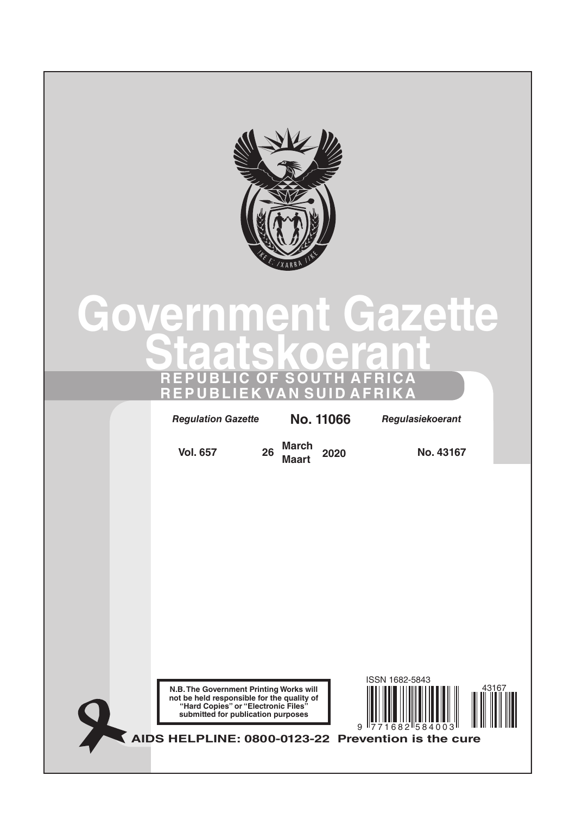

# **Government Gazette Staatskoerant REPUBLIC OF SOUTH AFRICA REPUBLIEK VAN SUID AFRIKA**

*Regulation Gazette* **No. 10177** *Regulasiekoerant Regulation Gazette* **No. 11066** *Regulasiekoerant*

**Vol. 657 <sup>26</sup> March** 

**Maart <sup>2020</sup> No. 43167**





**AIDS HELPLINE: 0800-0123-22 Prevention is the cure**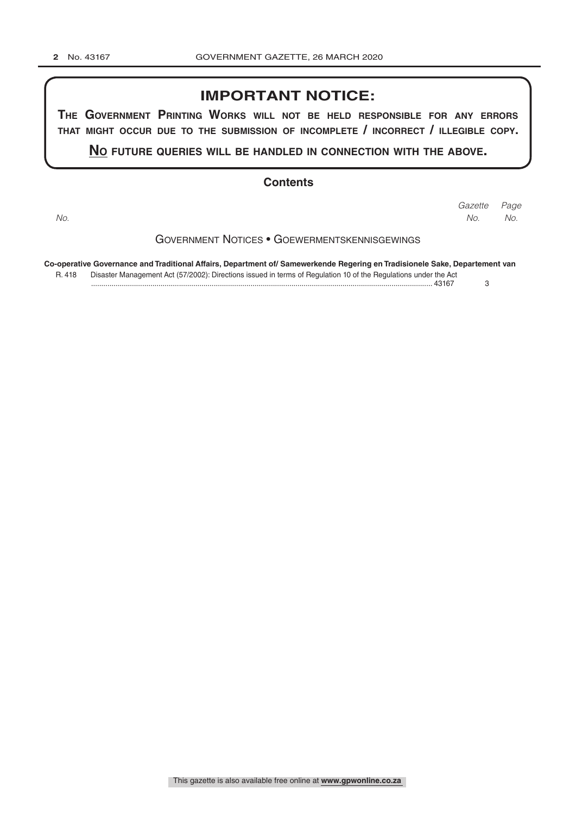## **IMPORTANT NOTICE:**

**The GovernmenT PrinTinG Works Will noT be held resPonsible for any errors ThaT miGhT occur due To The submission of incomPleTe / incorrecT / illeGible coPy.**

**no fuTure queries Will be handled in connecTion WiTh The above.**

### **Contents**

*Page Gazette No. No. No.*

### Government Notices • Goewermentskennisgewings

**Co-operative Governance and Traditional Affairs, Department of/ Samewerkende Regering en Tradisionele Sake, Departement van** R. 418 Disaster Management Act (57/2002): Directions issued in terms of Regulation 10 of the Regulations under the Act ....................................................................................................................................................................... 43167 3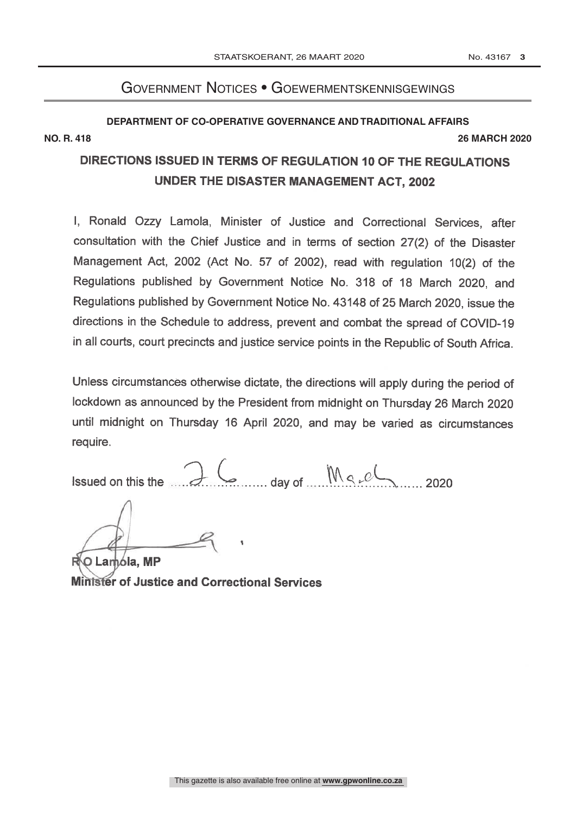# Government Notices • Goewermentskennisgewings

# **DEPARTMENT OF CO-OPERATIVE GOVERNANCE AND TRADITIONAL AFFAIRS NO. R. 418 26 MARCH 2020**

# DIRECTIONS ISSUED IN TERMS OF REGULATION 10 OF THE REGULATIONS UNDER THE DISASTER MANAGEMENT ACT. 2002

I, Ronald Ozzy Lamola, Minister of Justice and Correctional Services, after consultation with the Chief Justice and in terms of section 27(2) of the Disaster Management Act, 2002 (Act No. 57 of 2002), read with regulation 10(2) of the Regulations published by Government Notice No. 318 of 18 March 2020, and Regulations published by Government Notice No. 43148 of 25 March 2020, issue the directions in the Schedule to address, prevent and combat the spread of COVID-19 in all courts, court precincts and justice service points in the Republic of South Africa.

Unless circumstances otherwise dictate, the directions will apply during the period of lockdown as announced by the President from midnight on Thursday 26 March 2020 until midnight on Thursday 16 April 2020, and may be varied as circumstances require.

 $6$  day of  $Mg_e$ ch 2020 Issued on this the

O Lamóla, MP

**Minister of Justice and Correctional Services**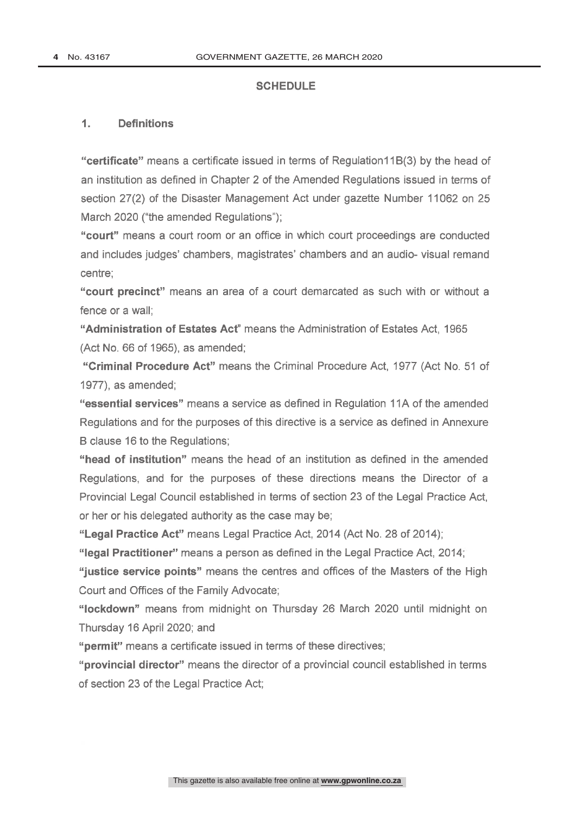### **SCHEDULE**

#### $1.$ **Definitions**

"certificate" means a certificate issued in terms of Regulation11B(3) by the head of an institution as defined in Chapter 2 of the Amended Regulations issued in terms of section 27(2) of the Disaster Management Act under gazette Number 11062 on 25 March 2020 ("the amended Regulations");

"court" means a court room or an office in which court proceedings are conducted and includes judges' chambers, magistrates' chambers and an audio- visual remand centre:

"court precinct" means an area of a court demarcated as such with or without a fence or a wall:

"Administration of Estates Act" means the Administration of Estates Act. 1965 (Act No. 66 of 1965), as amended;

"Criminal Procedure Act" means the Criminal Procedure Act, 1977 (Act No. 51 of 1977), as amended:

"essential services" means a service as defined in Regulation 11A of the amended Regulations and for the purposes of this directive is a service as defined in Annexure B clause 16 to the Regulations:

"head of institution" means the head of an institution as defined in the amended Regulations, and for the purposes of these directions means the Director of a Provincial Legal Council established in terms of section 23 of the Legal Practice Act, or her or his delegated authority as the case may be;

"Legal Practice Act" means Legal Practice Act, 2014 (Act No. 28 of 2014);

"legal Practitioner" means a person as defined in the Legal Practice Act, 2014;

"justice service points" means the centres and offices of the Masters of the High Court and Offices of the Family Advocate:

"lockdown" means from midnight on Thursday 26 March 2020 until midnight on Thursday 16 April 2020; and

"permit" means a certificate issued in terms of these directives;

"provincial director" means the director of a provincial council established in terms of section 23 of the Legal Practice Act;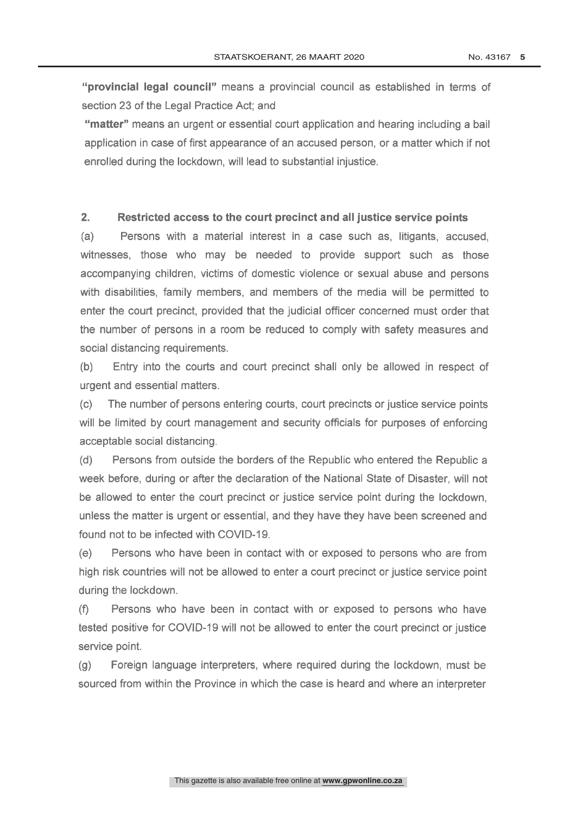"provincial legal council" means a provincial council as established in terms of section 23 of the Legal Practice Act: and

"matter" means an urgent or essential court application and hearing including a bail application in case of first appearance of an accused person, or a matter which if not enrolled during the lockdown, will lead to substantial injustice.

#### $2<sub>1</sub>$ Restricted access to the court precinct and all justice service points

Persons with a material interest in a case such as, litigants, accused.  $(a)$ witnesses, those who may be needed to provide support such as those accompanying children, victims of domestic violence or sexual abuse and persons with disabilities, family members, and members of the media will be permitted to enter the court precinct, provided that the judicial officer concerned must order that the number of persons in a room be reduced to comply with safety measures and social distancing requirements.

Entry into the courts and court precinct shall only be allowed in respect of  $(b)$ urgent and essential matters.

The number of persons entering courts, court precincts or justice service points  $(c)$ will be limited by court management and security officials for purposes of enforcing acceptable social distancing.

Persons from outside the borders of the Republic who entered the Republic a  $(d)$ week before, during or after the declaration of the National State of Disaster, will not be allowed to enter the court precinct or justice service point during the lockdown, unless the matter is urgent or essential, and they have they have been screened and found not to be infected with COVID-19.

Persons who have been in contact with or exposed to persons who are from  $(e)$ high risk countries will not be allowed to enter a court precinct or justice service point during the lockdown.

 $(f)$ Persons who have been in contact with or exposed to persons who have tested positive for COVID-19 will not be allowed to enter the court precinct or justice service point.

Foreign language interpreters, where required during the lockdown, must be  $(q)$ sourced from within the Province in which the case is heard and where an interpreter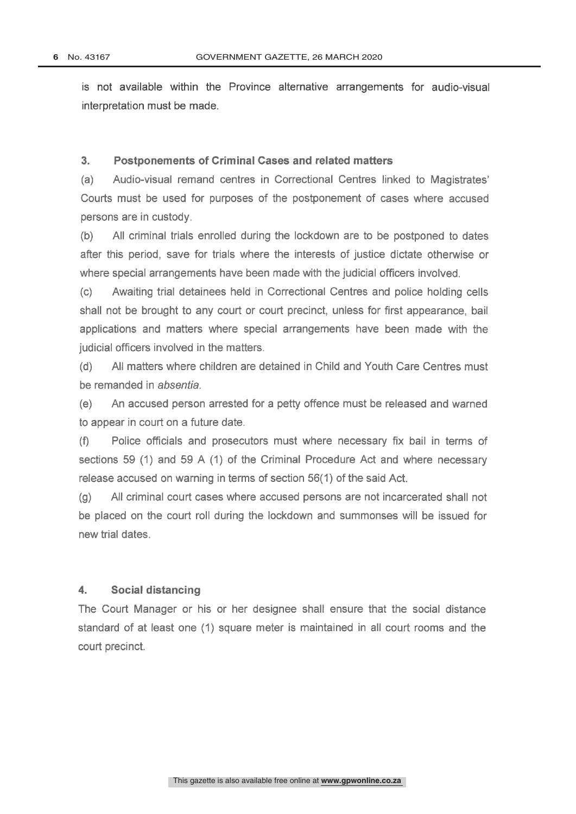is not available within the Province alternative arrangements for audio-visual interpretation must be made.

#### $3<sub>1</sub>$ **Postponements of Criminal Cases and related matters**

Audio-visual remand centres in Correctional Centres linked to Magistrates'  $(a)$ Courts must be used for purposes of the postponement of cases where accused persons are in custody.

All criminal trials enrolled during the lockdown are to be postponed to dates  $(b)$ after this period, save for trials where the interests of justice dictate otherwise or where special arrangements have been made with the judicial officers involved.

Awaiting trial detainees held in Correctional Centres and police holding cells  $(c)$ shall not be brought to any court or court precinct, unless for first appearance, bail applications and matters where special arrangements have been made with the judicial officers involved in the matters.

 $(d)$ All matters where children are detained in Child and Youth Care Centres must be remanded in absentia.

 $(e)$ An accused person arrested for a petty offence must be released and warned to appear in court on a future date.

Police officials and prosecutors must where necessary fix bail in terms of  $(f)$ sections 59 (1) and 59 A (1) of the Criminal Procedure Act and where necessary release accused on warning in terms of section 56(1) of the said Act.

All criminal court cases where accused persons are not incarcerated shall not  $(g)$ be placed on the court roll during the lockdown and summonses will be issued for new trial dates.

#### $\mathbf{4}$ . **Social distancing**

The Court Manager or his or her designee shall ensure that the social distance standard of at least one (1) square meter is maintained in all court rooms and the court precinct.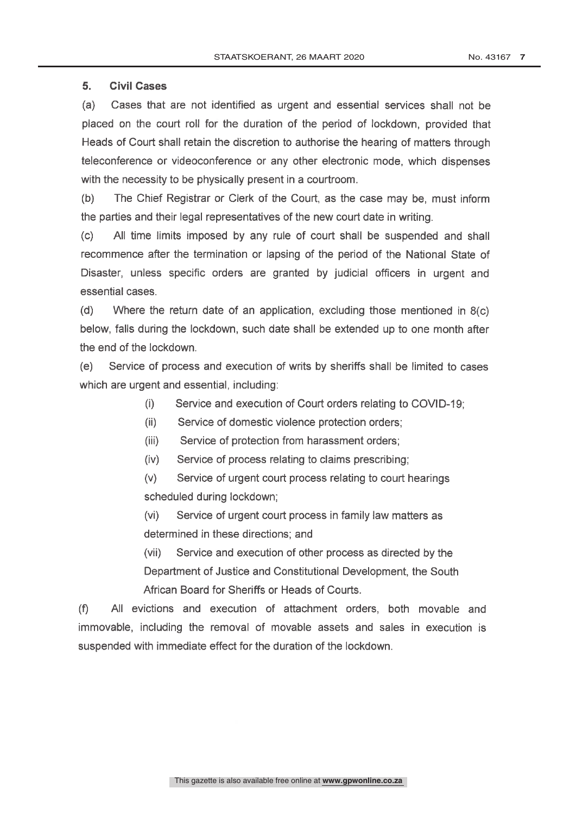#### 5. **Civil Cases**

 $(a)$ Cases that are not identified as urgent and essential services shall not be placed on the court roll for the duration of the period of lockdown, provided that Heads of Court shall retain the discretion to authorise the hearing of matters through teleconference or videoconference or any other electronic mode, which dispenses with the necessity to be physically present in a courtroom.

 $(b)$ The Chief Registrar or Clerk of the Court, as the case may be, must inform the parties and their legal representatives of the new court date in writing.

All time limits imposed by any rule of court shall be suspended and shall  $(c)$ recommence after the termination or lapsing of the period of the National State of Disaster, unless specific orders are granted by judicial officers in urgent and essential cases.

 $(d)$ Where the return date of an application, excluding those mentioned in  $8(c)$ below, falls during the lockdown, such date shall be extended up to one month after the end of the lockdown.

 $(e)$ Service of process and execution of writs by sheriffs shall be limited to cases which are urgent and essential, including:

- $(i)$ Service and execution of Court orders relating to COVID-19;
- Service of domestic violence protection orders;  $(ii)$
- Service of protection from harassment orders:  $(iii)$
- $(iv)$ Service of process relating to claims prescribing;

 $(V)$ Service of urgent court process relating to court hearings scheduled during lockdown;

 $(v<sub>i</sub>)$ Service of urgent court process in family law matters as determined in these directions; and

Service and execution of other process as directed by the  $(vii)$ Department of Justice and Constitutional Development, the South African Board for Sheriffs or Heads of Courts.

 $(f)$ All evictions and execution of attachment orders, both movable and immovable, including the removal of movable assets and sales in execution is suspended with immediate effect for the duration of the lockdown.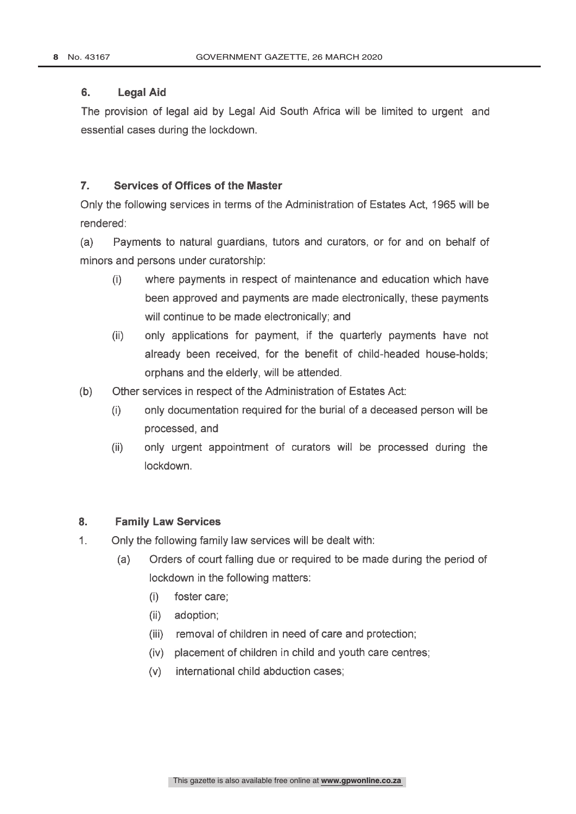#### 6. **Legal Aid**

The provision of legal aid by Legal Aid South Africa will be limited to urgent and essential cases during the lockdown.

#### $\overline{7}$ . **Services of Offices of the Master**

Only the following services in terms of the Administration of Estates Act, 1965 will be rendered:

Payments to natural guardians, tutors and curators, or for and on behalf of  $(a)$ minors and persons under curatorship:

- $(i)$ where payments in respect of maintenance and education which have been approved and payments are made electronically, these payments will continue to be made electronically; and
- $(ii)$ only applications for payment, if the quarterly payments have not already been received, for the benefit of child-headed house-holds; orphans and the elderly, will be attended.
- $(b)$ Other services in respect of the Administration of Estates Act:
	- only documentation required for the burial of a deceased person will be  $(i)$ processed, and
	- $(ii)$ only urgent appointment of curators will be processed during the lockdown.

#### 8. **Family Law Services**

- $1<sub>1</sub>$ Only the following family law services will be dealt with:
	- $(a)$ Orders of court falling due or required to be made during the period of lockdown in the following matters:
		- foster care;  $(i)$
		- (ii) adoption;
		- (iii) removal of children in need of care and protection;
		- (iv) placement of children in child and youth care centres;
		- (v) international child abduction cases: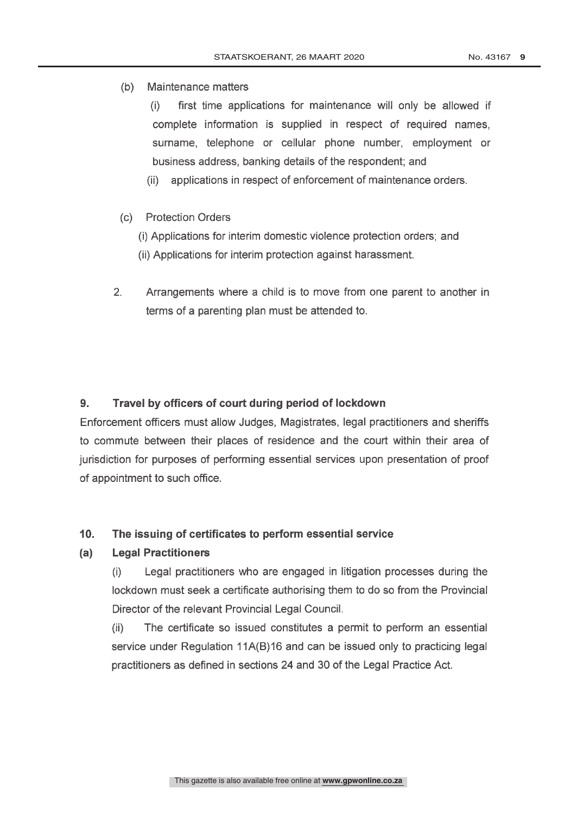(b) Maintenance matters

first time applications for maintenance will only be allowed if  $(i)$ complete information is supplied in respect of required names. surname, telephone or cellular phone number, employment or business address, banking details of the respondent; and

applications in respect of enforcement of maintenance orders.  $(ii)$ 

- (c) Protection Orders
	- (i) Applications for interim domestic violence protection orders; and
	- (ii) Applications for interim protection against harassment.
- $2.$ Arrangements where a child is to move from one parent to another in terms of a parenting plan must be attended to.

#### $9<sub>1</sub>$ Travel by officers of court during period of lockdown

Enforcement officers must allow Judges, Magistrates, legal practitioners and sheriffs to commute between their places of residence and the court within their area of jurisdiction for purposes of performing essential services upon presentation of proof of appointment to such office.

#### $10.$ The issuing of certificates to perform essential service

#### **Legal Practitioners**  $(a)$

Legal practitioners who are engaged in litigation processes during the  $(i)$ lockdown must seek a certificate authorising them to do so from the Provincial Director of the relevant Provincial Legal Council.

The certificate so issued constitutes a permit to perform an essential  $(ii)$ service under Regulation 11A(B)16 and can be issued only to practicing legal practitioners as defined in sections 24 and 30 of the Legal Practice Act.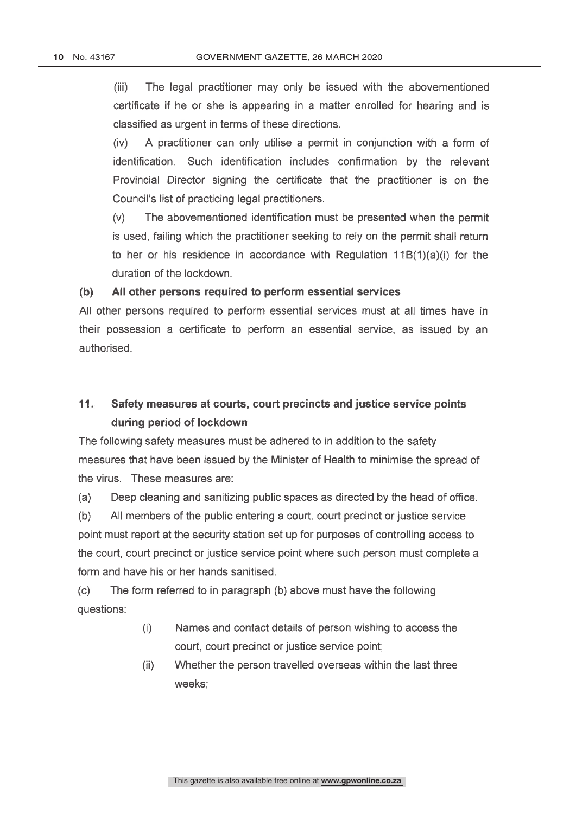$(iii)$ The legal practitioner may only be issued with the abovementioned certificate if he or she is appearing in a matter enrolled for hearing and is classified as urgent in terms of these directions.

A practitioner can only utilise a permit in conjunction with a form of  $(iv)$ identification. Such identification includes confirmation by the relevant Provincial Director signing the certificate that the practitioner is on the Council's list of practicing legal practitioners.

 $(v)$ The abovementioned identification must be presented when the permit is used, failing which the practitioner seeking to rely on the permit shall return to her or his residence in accordance with Regulation  $11B(1)(a)(i)$  for the duration of the lockdown.

#### $(b)$ All other persons required to perform essential services

All other persons required to perform essential services must at all times have in their possession a certificate to perform an essential service, as issued by an authorised.

### $11 -$ Safety measures at courts, court precincts and justice service points during period of lockdown

The following safety measures must be adhered to in addition to the safety measures that have been issued by the Minister of Health to minimise the spread of the virus. These measures are:

Deep cleaning and sanitizing public spaces as directed by the head of office.  $(a)$ 

All members of the public entering a court, court precinct or justice service  $(b)$ point must report at the security station set up for purposes of controlling access to the court, court precinct or justice service point where such person must complete a form and have his or her hands sanitised.

 $(c)$ The form referred to in paragraph (b) above must have the following questions:

- $(i)$ Names and contact details of person wishing to access the court, court precinct or justice service point;
- $(ii)$ Whether the person travelled overseas within the last three weeks: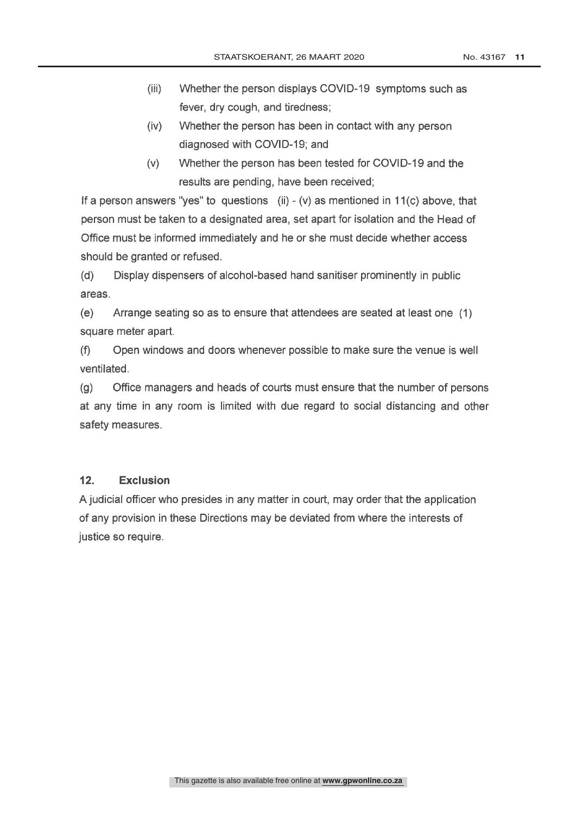- $(iii)$ Whether the person displays COVID-19 symptoms such as fever, dry cough, and tiredness;
- $(iv)$ Whether the person has been in contact with any person diagnosed with COVID-19; and
- $(v)$ Whether the person has been tested for COVID-19 and the results are pending, have been received;

If a person answers "yes" to questions (ii) - (v) as mentioned in  $11(c)$  above, that person must be taken to a designated area, set apart for isolation and the Head of Office must be informed immediately and he or she must decide whether access should be granted or refused.

 $(d)$ Display dispensers of alcohol-based hand sanitiser prominently in public areas.

 $(e)$ Arrange seating so as to ensure that attendees are seated at least one (1) square meter apart.

 $(f)$ Open windows and doors whenever possible to make sure the venue is well ventilated.

 $(a)$ Office managers and heads of courts must ensure that the number of persons at any time in any room is limited with due regard to social distancing and other safety measures.

#### $12.$ **Exclusion**

A judicial officer who presides in any matter in court, may order that the application of any provision in these Directions may be deviated from where the interests of justice so require.